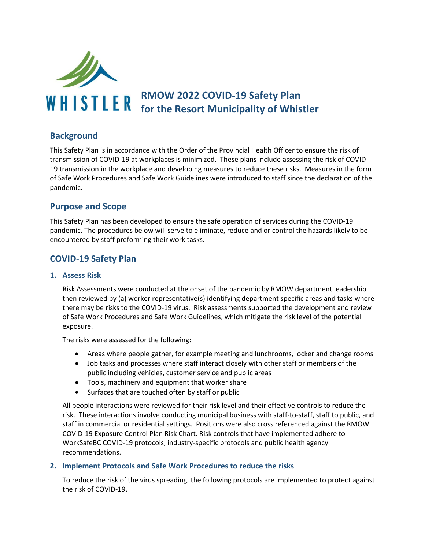

# **RMOW 2022 COVID-19 Safety Plan for the Resort Municipality of Whistler**

## **Background**

This Safety Plan is in accordance with the Order of the Provincial Health Officer to ensure the risk of transmission of COVID-19 at workplaces is minimized. These plans include assessing the risk of COVID-19 transmission in the workplace and developing measures to reduce these risks. Measures in the form of Safe Work Procedures and Safe Work Guidelines were introduced to staff since the declaration of the pandemic.

## **Purpose and Scope**

This Safety Plan has been developed to ensure the safe operation of services during the COVID-19 pandemic. The procedures below will serve to eliminate, reduce and or control the hazards likely to be encountered by staff preforming their work tasks.

## **COVID-19 Safety Plan**

#### **1. Assess Risk**

Risk Assessments were conducted at the onset of the pandemic by RMOW department leadership then reviewed by (a) worker representative(s) identifying department specific areas and tasks where there may be risks to the COVID-19 virus. Risk assessments supported the development and review of Safe Work Procedures and Safe Work Guidelines, which mitigate the risk level of the potential exposure.

The risks were assessed for the following:

- Areas where people gather, for example meeting and lunchrooms, locker and change rooms
- Job tasks and processes where staff interact closely with other staff or members of the public including vehicles, customer service and public areas
- Tools, machinery and equipment that worker share
- Surfaces that are touched often by staff or public

All people interactions were reviewed for their risk level and their effective controls to reduce the risk. These interactions involve conducting municipal business with staff-to-staff, staff to public, and staff in commercial or residential settings. Positions were also cross referenced against the RMOW COVID-19 Exposure Control Plan Risk Chart. Risk controls that have implemented adhere to WorkSafeBC COVID-19 protocols, industry-specific protocols and public health agency recommendations.

#### **2. Implement Protocols and Safe Work Procedures to reduce the risks**

To reduce the risk of the virus spreading, the following protocols are implemented to protect against the risk of COVID-19.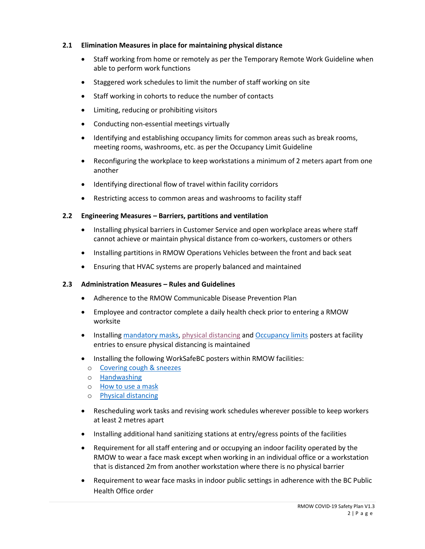#### **2.1 Elimination Measures in place for maintaining physical distance**

- Staff working from home or remotely as per the Temporary Remote Work Guideline when able to perform work functions
- Staggered work schedules to limit the number of staff working on site
- Staff working in cohorts to reduce the number of contacts
- Limiting, reducing or prohibiting visitors
- Conducting non-essential meetings virtually
- Identifying and establishing occupancy limits for common areas such as break rooms, meeting rooms, washrooms, etc. as per the Occupancy Limit Guideline
- Reconfiguring the workplace to keep workstations a minimum of 2 meters apart from one another
- Identifying directional flow of travel within facility corridors
- Restricting access to common areas and washrooms to facility staff

#### **2.2 Engineering Measures – Barriers, partitions and ventilation**

- Installing physical barriers in Customer Service and open workplace areas where staff cannot achieve or maintain physical distance from co-workers, customers or others
- Installing partitions in RMOW Operations Vehicles between the front and back seat
- Ensuring that HVAC systems are properly balanced and maintained

#### **2.3 Administration Measures – Rules and Guidelines**

- Adherence to the RMOW Communicable Disease Prevention Plan
- Employee and contractor complete a daily health check prior to entering a RMOW worksite
- Installing [mandatory masks,](https://www.worksafebc.com/en/resources/health-safety/posters/covid-19-masks-are-mandatory-in-this-workplace?lang=en&origin=s&returnurl=https%3A%2F%2Fwww.worksafebc.com%2Fen%2Fsearch%23sort%3DRelevancy%26q%3Dmandatory%2520mask%26f%3Alanguage-facet%3D%5BEnglish%5D&highlight=mandatory%20mask) [physical distancing](http://www.bccdc.ca/Health-Professionals-Site/Documents/COVID19_PhysicalDistancingPoster.pdf) and [Occupancy limits](https://www.worksafebc.com/en/resources/health-safety/posters/prevent-spread-communicable-disease-occupancy-limit?lang=en) posters at facility entries to ensure physical distancing is maintained
- Installing the following WorkSafeBC posters within RMOW facilities:
	- o [Covering cough & sneezes](https://www.worksafebc.com/en/resources/health-safety/posters/prevent-spread-communicable-disease-cover-coughs-sneezes?lang=en)
	- o [Handwashing](https://www.worksafebc.com/en/resources/health-safety/posters/prevent-spread-communicable-disease-handwashing?lang=en)
	- o [How to use a mask](https://www.worksafebc.com/en/resources/health-safety/posters/prevent-spread-communicable-disease-how-to-use-mask?lang=en)
	- o [Physical distancing](http://www.bccdc.ca/Health-Professionals-Site/Documents/COVID19_PhysicalDistancingPoster.pdf)
- Rescheduling work tasks and revising work schedules wherever possible to keep workers at least 2 metres apart
- Installing additional hand sanitizing stations at entry/egress points of the facilities
- Requirement for all staff entering and or occupying an indoor facility operated by the RMOW to wear a face mask except when working in an individual office or a workstation that is distanced 2m from another workstation where there is no physical barrier
- Requirement to wear face masks in indoor public settings in adherence with the BC Public Health Office order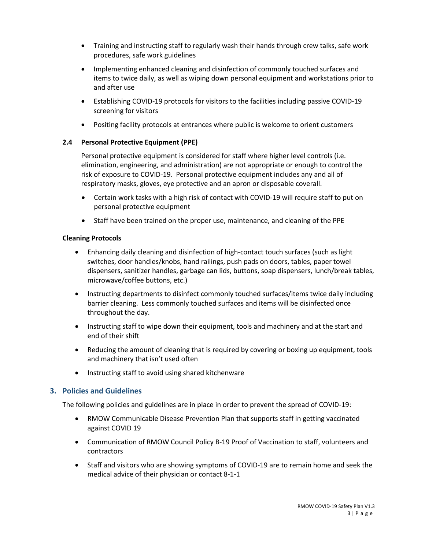- Training and instructing staff to regularly wash their hands through crew talks, safe work procedures, safe work guidelines
- Implementing enhanced cleaning and disinfection of commonly touched surfaces and items to twice daily, as well as wiping down personal equipment and workstations prior to and after use
- Establishing COVID-19 protocols for visitors to the facilities including passive COVID-19 screening for visitors
- Positing facility protocols at entrances where public is welcome to orient customers

#### **2.4 Personal Protective Equipment (PPE)**

Personal protective equipment is considered for staff where higher level controls (i.e. elimination, engineering, and administration) are not appropriate or enough to control the risk of exposure to COVID-19. Personal protective equipment includes any and all of respiratory masks, gloves, eye protective and an apron or disposable coverall.

- Certain work tasks with a high risk of contact with COVID-19 will require staff to put on personal protective equipment
- Staff have been trained on the proper use, maintenance, and cleaning of the PPE

#### **Cleaning Protocols**

- Enhancing daily cleaning and disinfection of high-contact touch surfaces (such as light switches, door handles/knobs, hand railings, push pads on doors, tables, paper towel dispensers, sanitizer handles, garbage can lids, buttons, soap dispensers, lunch/break tables, microwave/coffee buttons, etc.)
- Instructing departments to disinfect commonly touched surfaces/items twice daily including barrier cleaning. Less commonly touched surfaces and items will be disinfected once throughout the day.
- Instructing staff to wipe down their equipment, tools and machinery and at the start and end of their shift
- Reducing the amount of cleaning that is required by covering or boxing up equipment, tools and machinery that isn't used often
- Instructing staff to avoid using shared kitchenware

### **3. Policies and Guidelines**

The following policies and guidelines are in place in order to prevent the spread of COVID-19:

- RMOW Communicable Disease Prevention Plan that supports staff in getting vaccinated against COVID 19
- Communication of RMOW Council Policy B-19 Proof of Vaccination to staff, volunteers and contractors
- Staff and visitors who are showing symptoms of COVID-19 are to remain home and seek the medical advice of their physician or contact 8-1-1